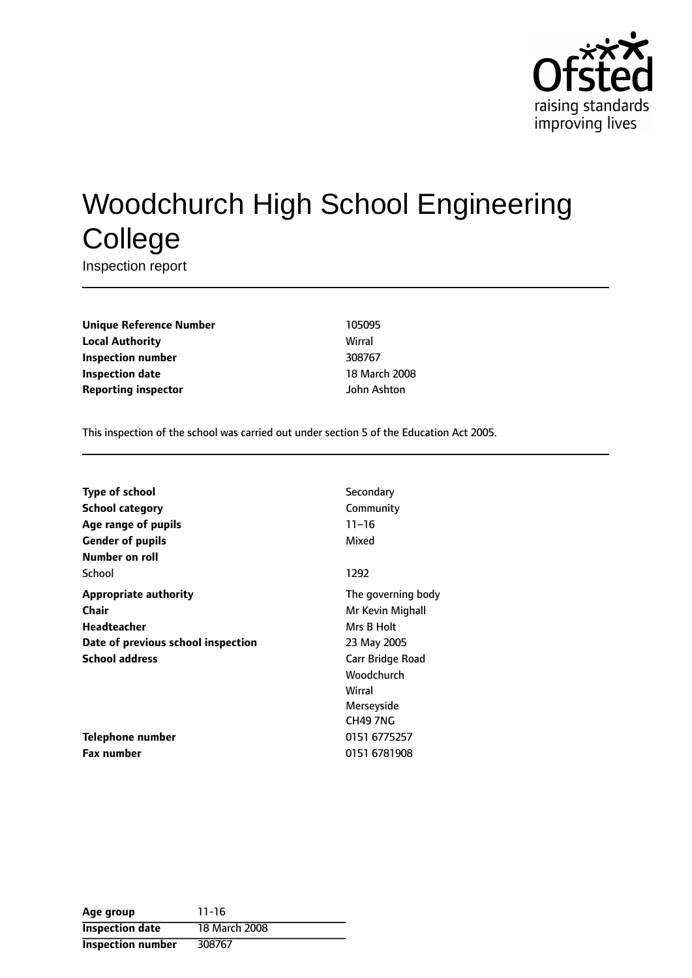

# Woodchurch High School Engineering **College**

Inspection report

**Unique Reference Number** 105095 **Local Authority** Wirral **Inspection number** 308767 **Inspection date** 18 March 2008 **Reporting inspector** John Ashton

This inspection of the school was carried out under section 5 of the Education Act 2005.

| <b>Type of school</b>              | Secondary          |
|------------------------------------|--------------------|
| <b>School category</b>             | Community          |
| Age range of pupils                | $11 - 16$          |
| <b>Gender of pupils</b>            | Mixed              |
| Number on roll                     |                    |
| School                             | 1292               |
| <b>Appropriate authority</b>       | The governing body |
| <b>Chair</b>                       | Mr Kevin Mighall   |
| Headteacher                        | Mrs B Holt         |
| Date of previous school inspection | 23 May 2005        |
| <b>School address</b>              | Carr Bridge Road   |
|                                    | Woodchurch         |
|                                    | Wirral             |
|                                    | Merseyside         |
|                                    | CH49 7NG           |
| Telephone number                   | 0151 6775257       |
| <b>Fax number</b>                  | 0151 6781908       |

| Age group                | $11 - 16$     |
|--------------------------|---------------|
| <b>Inspection date</b>   | 18 March 2008 |
| <b>Inspection number</b> | 308767        |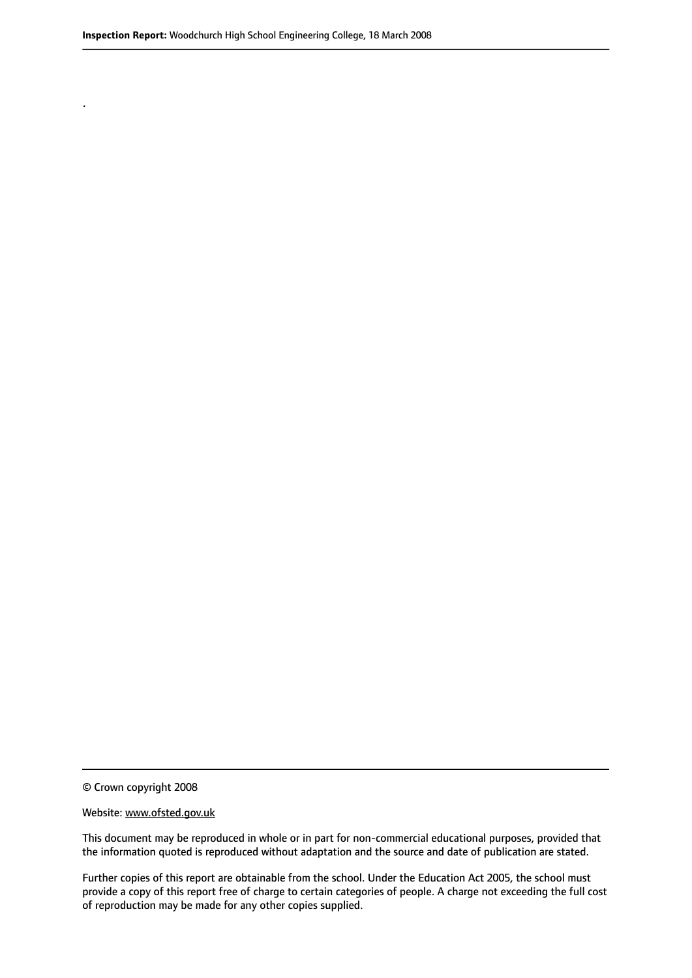.

© Crown copyright 2008

#### Website: www.ofsted.gov.uk

This document may be reproduced in whole or in part for non-commercial educational purposes, provided that the information quoted is reproduced without adaptation and the source and date of publication are stated.

Further copies of this report are obtainable from the school. Under the Education Act 2005, the school must provide a copy of this report free of charge to certain categories of people. A charge not exceeding the full cost of reproduction may be made for any other copies supplied.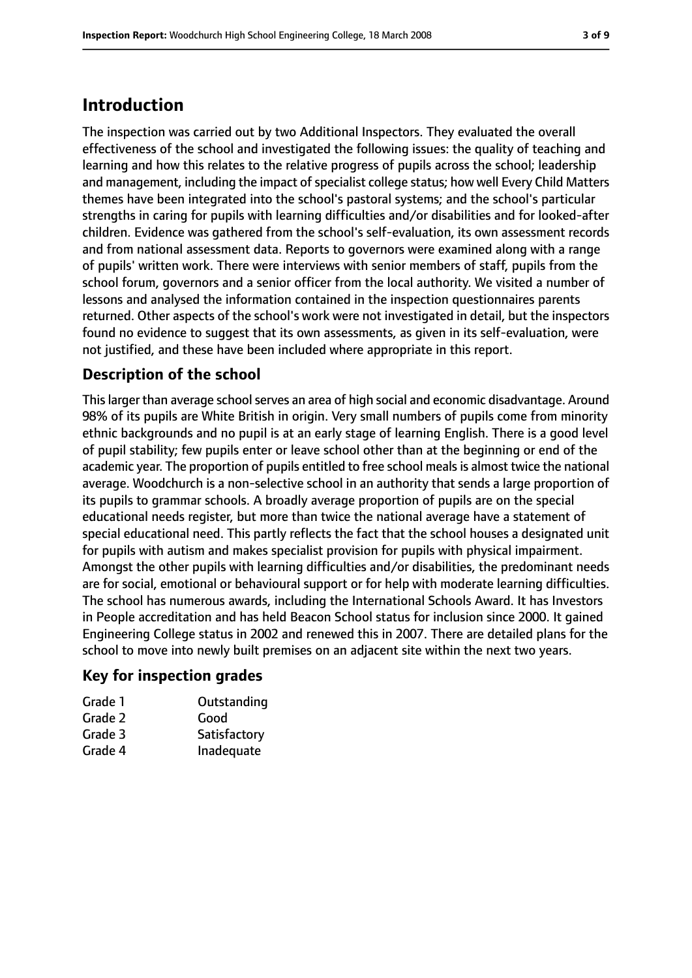### **Introduction**

The inspection was carried out by two Additional Inspectors. They evaluated the overall effectiveness of the school and investigated the following issues: the quality of teaching and learning and how this relates to the relative progress of pupils across the school; leadership and management, including the impact of specialist college status; how well Every Child Matters themes have been integrated into the school's pastoral systems; and the school's particular strengths in caring for pupils with learning difficulties and/or disabilities and for looked-after children. Evidence was gathered from the school's self-evaluation, its own assessment records and from national assessment data. Reports to governors were examined along with a range of pupils' written work. There were interviews with senior members of staff, pupils from the school forum, governors and a senior officer from the local authority. We visited a number of lessons and analysed the information contained in the inspection questionnaires parents returned. Other aspects of the school's work were not investigated in detail, but the inspectors found no evidence to suggest that its own assessments, as given in its self-evaluation, were not justified, and these have been included where appropriate in this report.

### **Description of the school**

This larger than average school serves an area of high social and economic disadvantage. Around 98% of its pupils are White British in origin. Very small numbers of pupils come from minority ethnic backgrounds and no pupil is at an early stage of learning English. There is a good level of pupil stability; few pupils enter or leave school other than at the beginning or end of the academic year. The proportion of pupils entitled to free school meals is almost twice the national average. Woodchurch is a non-selective school in an authority that sends a large proportion of its pupils to grammar schools. A broadly average proportion of pupils are on the special educational needs register, but more than twice the national average have a statement of special educational need. This partly reflects the fact that the school houses a designated unit for pupils with autism and makes specialist provision for pupils with physical impairment. Amongst the other pupils with learning difficulties and/or disabilities, the predominant needs are for social, emotional or behavioural support or for help with moderate learning difficulties. The school has numerous awards, including the International Schools Award. It has Investors in People accreditation and has held Beacon School status for inclusion since 2000. It gained Engineering College status in 2002 and renewed this in 2007. There are detailed plans for the school to move into newly built premises on an adjacent site within the next two years.

#### **Key for inspection grades**

| Grade 1 | Outstanding  |
|---------|--------------|
| Grade 2 | Good         |
| Grade 3 | Satisfactory |
| Grade 4 | Inadequate   |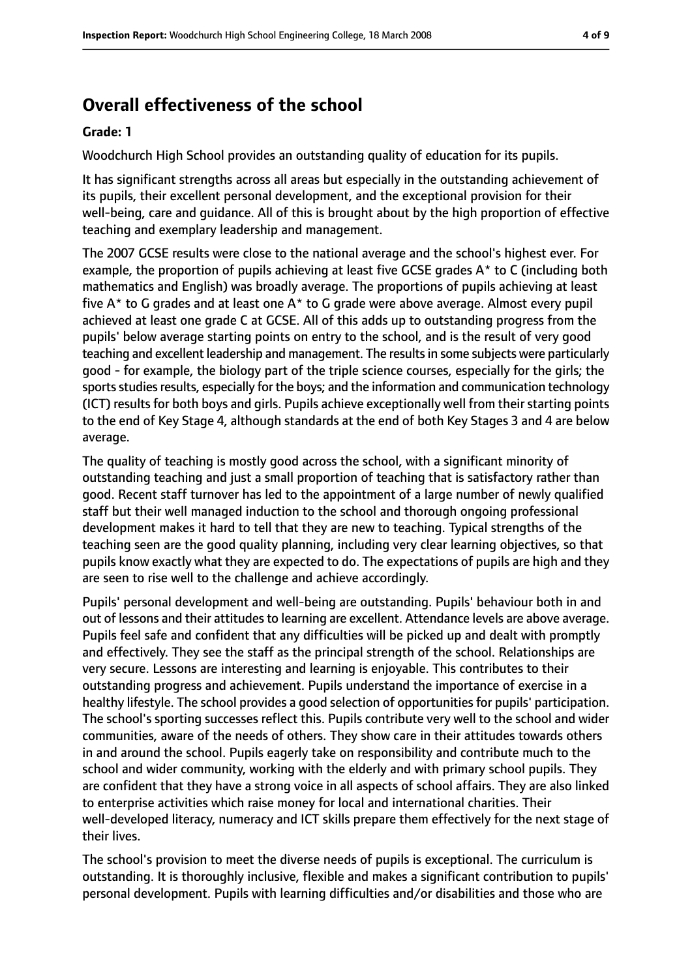## **Overall effectiveness of the school**

#### **Grade: 1**

Woodchurch High School provides an outstanding quality of education for its pupils.

It has significant strengths across all areas but especially in the outstanding achievement of its pupils, their excellent personal development, and the exceptional provision for their well-being, care and guidance. All of this is brought about by the high proportion of effective teaching and exemplary leadership and management.

The 2007 GCSE results were close to the national average and the school's highest ever. For example, the proportion of pupils achieving at least five GCSE grades A\* to C (including both mathematics and English) was broadly average. The proportions of pupils achieving at least five A\* to G grades and at least one A\* to G grade were above average. Almost every pupil achieved at least one grade C at GCSE. All of this adds up to outstanding progress from the pupils' below average starting points on entry to the school, and is the result of very good teaching and excellent leadership and management. The resultsin some subjects were particularly good - for example, the biology part of the triple science courses, especially for the girls; the sports studies results, especially for the boys; and the information and communication technology (ICT) results for both boys and girls. Pupils achieve exceptionally well from their starting points to the end of Key Stage 4, although standards at the end of both Key Stages 3 and 4 are below average.

The quality of teaching is mostly good across the school, with a significant minority of outstanding teaching and just a small proportion of teaching that is satisfactory rather than good. Recent staff turnover has led to the appointment of a large number of newly qualified staff but their well managed induction to the school and thorough ongoing professional development makes it hard to tell that they are new to teaching. Typical strengths of the teaching seen are the good quality planning, including very clear learning objectives, so that pupils know exactly what they are expected to do. The expectations of pupils are high and they are seen to rise well to the challenge and achieve accordingly.

Pupils' personal development and well-being are outstanding. Pupils' behaviour both in and out of lessons and their attitudes to learning are excellent. Attendance levels are above average. Pupils feel safe and confident that any difficulties will be picked up and dealt with promptly and effectively. They see the staff as the principal strength of the school. Relationships are very secure. Lessons are interesting and learning is enjoyable. This contributes to their outstanding progress and achievement. Pupils understand the importance of exercise in a healthy lifestyle. The school provides a good selection of opportunities for pupils' participation. The school's sporting successes reflect this. Pupils contribute very well to the school and wider communities, aware of the needs of others. They show care in their attitudes towards others in and around the school. Pupils eagerly take on responsibility and contribute much to the school and wider community, working with the elderly and with primary school pupils. They are confident that they have a strong voice in all aspects of school affairs. They are also linked to enterprise activities which raise money for local and international charities. Their well-developed literacy, numeracy and ICT skills prepare them effectively for the next stage of their lives.

The school's provision to meet the diverse needs of pupils is exceptional. The curriculum is outstanding. It is thoroughly inclusive, flexible and makes a significant contribution to pupils' personal development. Pupils with learning difficulties and/or disabilities and those who are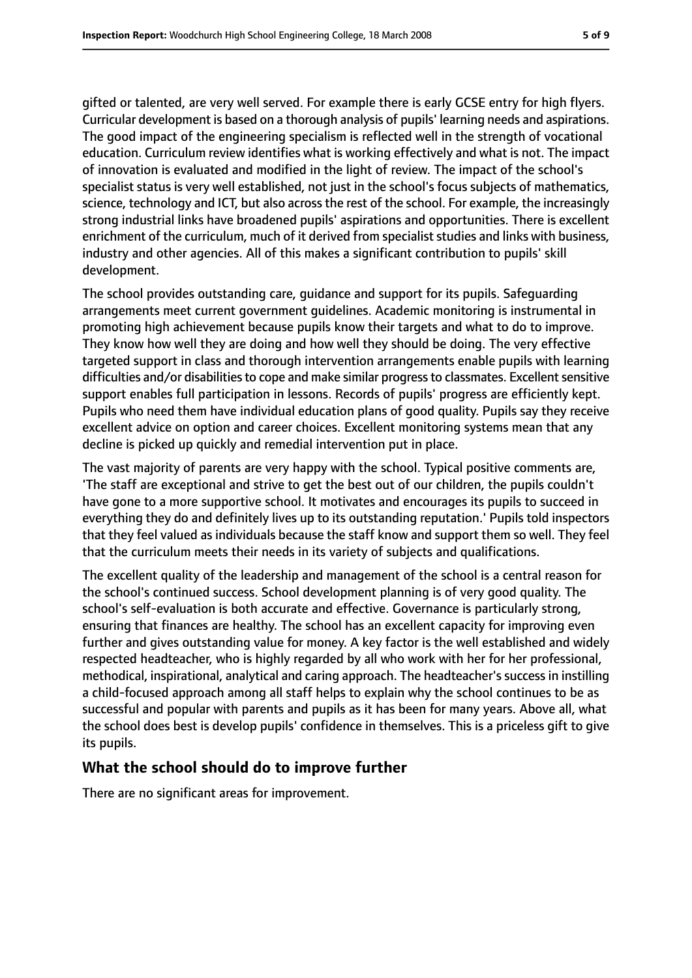gifted or talented, are very well served. For example there is early GCSE entry for high flyers. Curricular development is based on a thorough analysis of pupils' learning needs and aspirations. The good impact of the engineering specialism is reflected well in the strength of vocational education. Curriculum review identifies what is working effectively and what is not. The impact of innovation is evaluated and modified in the light of review. The impact of the school's specialist status is very well established, not just in the school's focus subjects of mathematics, science, technology and ICT, but also across the rest of the school. For example, the increasingly strong industrial links have broadened pupils' aspirations and opportunities. There is excellent enrichment of the curriculum, much of it derived from specialist studies and links with business, industry and other agencies. All of this makes a significant contribution to pupils' skill development.

The school provides outstanding care, guidance and support for its pupils. Safeguarding arrangements meet current government guidelines. Academic monitoring is instrumental in promoting high achievement because pupils know their targets and what to do to improve. They know how well they are doing and how well they should be doing. The very effective targeted support in class and thorough intervention arrangements enable pupils with learning difficulties and/or disabilities to cope and make similar progress to classmates. Excellent sensitive support enables full participation in lessons. Records of pupils' progress are efficiently kept. Pupils who need them have individual education plans of good quality. Pupils say they receive excellent advice on option and career choices. Excellent monitoring systems mean that any decline is picked up quickly and remedial intervention put in place.

The vast majority of parents are very happy with the school. Typical positive comments are, 'The staff are exceptional and strive to get the best out of our children, the pupils couldn't have gone to a more supportive school. It motivates and encourages its pupils to succeed in everything they do and definitely lives up to its outstanding reputation.' Pupils told inspectors that they feel valued as individuals because the staff know and support them so well. They feel that the curriculum meets their needs in its variety of subjects and qualifications.

The excellent quality of the leadership and management of the school is a central reason for the school's continued success. School development planning is of very good quality. The school's self-evaluation is both accurate and effective. Governance is particularly strong, ensuring that finances are healthy. The school has an excellent capacity for improving even further and gives outstanding value for money. A key factor is the well established and widely respected headteacher, who is highly regarded by all who work with her for her professional, methodical, inspirational, analytical and caring approach. The headteacher's success in instilling a child-focused approach among all staff helps to explain why the school continues to be as successful and popular with parents and pupils as it has been for many years. Above all, what the school does best is develop pupils' confidence in themselves. This is a priceless gift to give its pupils.

#### **What the school should do to improve further**

There are no significant areas for improvement.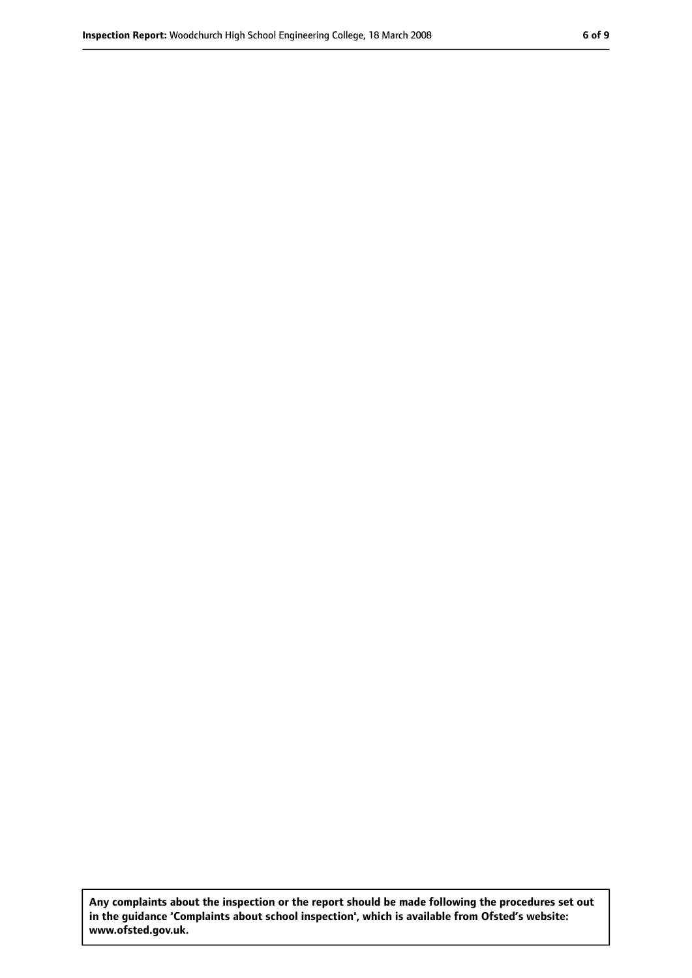**Any complaints about the inspection or the report should be made following the procedures set out in the guidance 'Complaints about school inspection', which is available from Ofsted's website: www.ofsted.gov.uk.**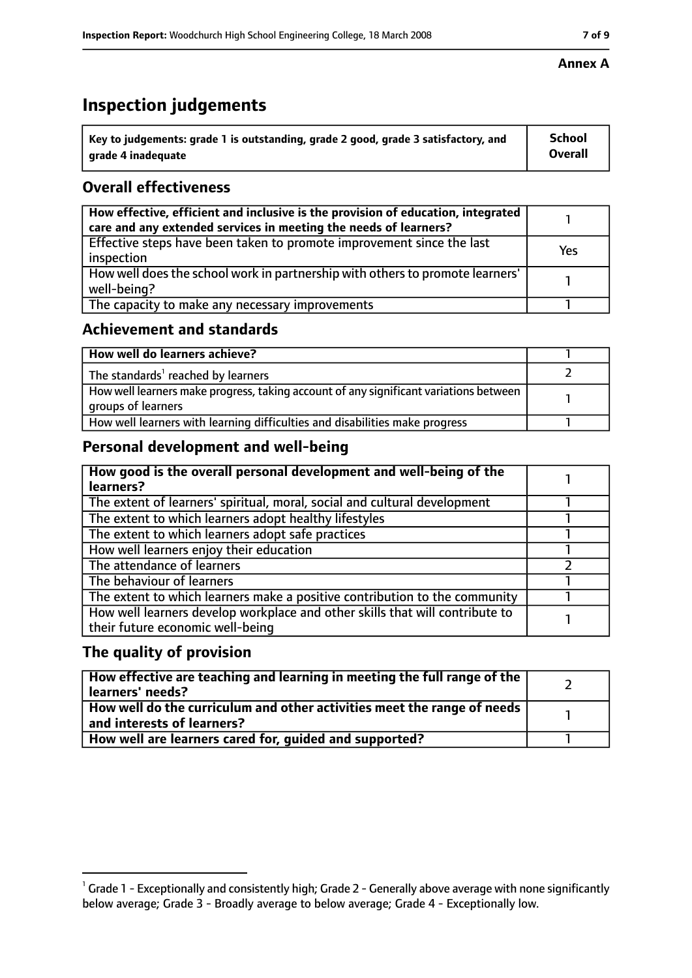### **Inspection judgements**

| $^{\cdot}$ Key to judgements: grade 1 is outstanding, grade 2 good, grade 3 satisfactory, and | <b>School</b>  |
|-----------------------------------------------------------------------------------------------|----------------|
| arade 4 inadequate                                                                            | <b>Overall</b> |

### **Overall effectiveness**

| How effective, efficient and inclusive is the provision of education, integrated<br>care and any extended services in meeting the needs of learners? |     |
|------------------------------------------------------------------------------------------------------------------------------------------------------|-----|
| Effective steps have been taken to promote improvement since the last<br>inspection                                                                  | Yes |
| How well does the school work in partnership with others to promote learners'<br>well-being?                                                         |     |
| The capacity to make any necessary improvements                                                                                                      |     |

### **Achievement and standards**

| How well do learners achieve?                                                                               |  |
|-------------------------------------------------------------------------------------------------------------|--|
| The standards <sup>1</sup> reached by learners                                                              |  |
| How well learners make progress, taking account of any significant variations between<br>groups of learners |  |
| How well learners with learning difficulties and disabilities make progress                                 |  |

### **Personal development and well-being**

| How good is the overall personal development and well-being of the<br>learners?                                  |  |
|------------------------------------------------------------------------------------------------------------------|--|
|                                                                                                                  |  |
| The extent of learners' spiritual, moral, social and cultural development                                        |  |
| The extent to which learners adopt healthy lifestyles                                                            |  |
| The extent to which learners adopt safe practices                                                                |  |
| How well learners enjoy their education                                                                          |  |
| The attendance of learners                                                                                       |  |
| The behaviour of learners                                                                                        |  |
| The extent to which learners make a positive contribution to the community                                       |  |
| How well learners develop workplace and other skills that will contribute to<br>their future economic well-being |  |

### **The quality of provision**

| How effective are teaching and learning in meeting the full range of the<br>learners' needs?          |  |
|-------------------------------------------------------------------------------------------------------|--|
| How well do the curriculum and other activities meet the range of needs<br>and interests of learners? |  |
| How well are learners cared for, guided and supported?                                                |  |

 $^1$  Grade 1 - Exceptionally and consistently high; Grade 2 - Generally above average with none significantly below average; Grade 3 - Broadly average to below average; Grade 4 - Exceptionally low.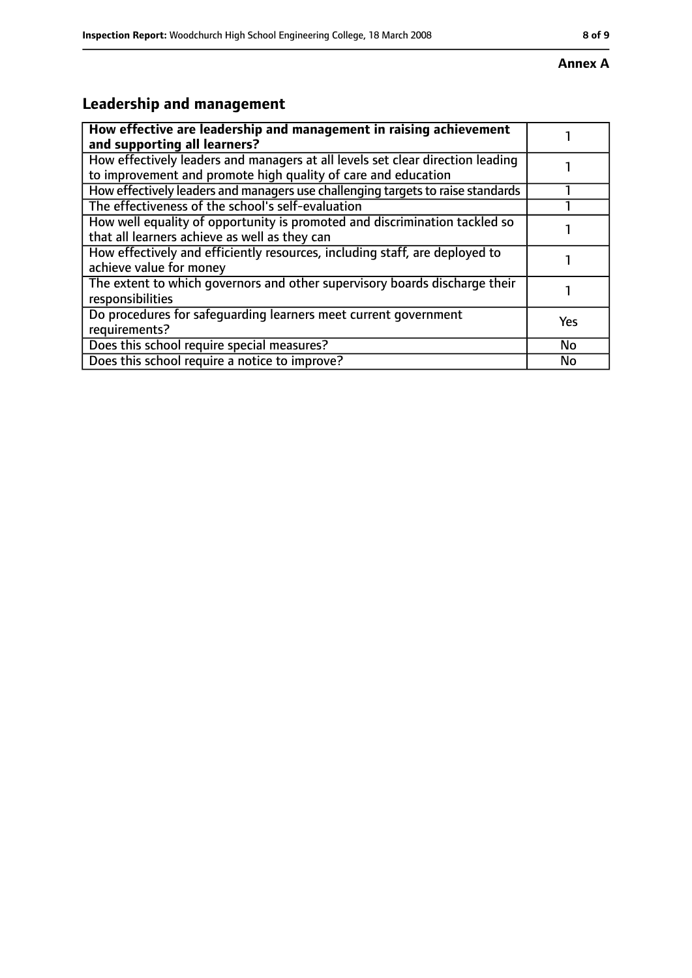## **Leadership and management**

| How effective are leadership and management in raising achievement<br>and supporting all learners?                                              |     |
|-------------------------------------------------------------------------------------------------------------------------------------------------|-----|
| How effectively leaders and managers at all levels set clear direction leading<br>to improvement and promote high quality of care and education |     |
| How effectively leaders and managers use challenging targets to raise standards                                                                 |     |
| The effectiveness of the school's self-evaluation                                                                                               |     |
| How well equality of opportunity is promoted and discrimination tackled so<br>that all learners achieve as well as they can                     |     |
| How effectively and efficiently resources, including staff, are deployed to<br>achieve value for money                                          |     |
| The extent to which governors and other supervisory boards discharge their<br>responsibilities                                                  |     |
| Do procedures for safequarding learners meet current government<br>requirements?                                                                | Yes |
| Does this school require special measures?                                                                                                      | No  |
| Does this school require a notice to improve?                                                                                                   | No  |